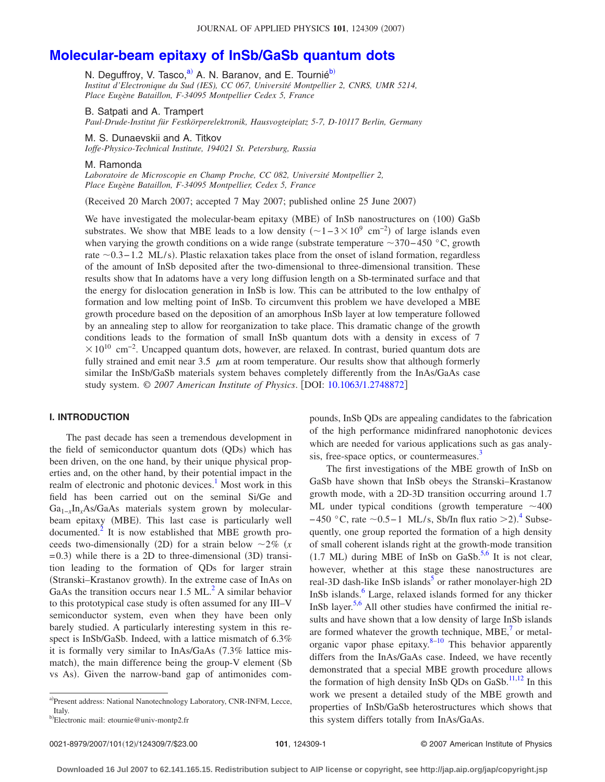# **[Molecular-beam epitaxy of InSb/GaSb quantum dots](http://dx.doi.org/10.1063/1.2748872)**

N. Deguffroy, V. Tasco,<sup>a)</sup> A. N. Baranov, and E. Tournié<sup>b)</sup> *Institut d'Electronique du Sud (IES), CC 067, Université Montpellier 2, CNRS, UMR 5214, Place Eugène Bataillon, F-34095 Montpellier Cedex 5, France*

B. Satpati and A. Trampert

*Paul-Drude-Institut für Festkörperelektronik, Hausvogteiplatz 5-7, D-10117 Berlin, Germany*

M. S. Dunaevskii and A. Titkov

*Ioffe-Physico-Technical Institute, 194021 St. Petersburg, Russia*

#### M. Ramonda

*Laboratoire de Microscopie en Champ Proche, CC 082, Université Montpellier 2, Place Eugène Bataillon, F-34095 Montpellier, Cedex 5, France*

(Received 20 March 2007; accepted 7 May 2007; published online 25 June 2007)

We have investigated the molecular-beam epitaxy (MBE) of InSb nanostructures on (100) GaSb substrates. We show that MBE leads to a low density  $(-1-3\times10^{9} \text{ cm}^{-2})$  of large islands even when varying the growth conditions on a wide range (substrate temperature  $\sim$ 370−450 °C, growth rate ~0.3−1.2 ML/s). Plastic relaxation takes place from the onset of island formation, regardless of the amount of InSb deposited after the two-dimensional to three-dimensional transition. These results show that In adatoms have a very long diffusion length on a Sb-terminated surface and that the energy for dislocation generation in InSb is low. This can be attributed to the low enthalpy of formation and low melting point of InSb. To circumvent this problem we have developed a MBE growth procedure based on the deposition of an amorphous InSb layer at low temperature followed by an annealing step to allow for reorganization to take place. This dramatic change of the growth conditions leads to the formation of small InSb quantum dots with a density in excess of 7  $\times 10^{10}$  cm<sup>-2</sup>. Uncapped quantum dots, however, are relaxed. In contrast, buried quantum dots are fully strained and emit near 3.5  $\mu$ m at room temperature. Our results show that although formerly similar the InSb/GaSb materials system behaves completely differently from the InAs/GaAs case study system.  $\odot$  2007 American Institute of Physics. [DOI: [10.1063/1.2748872](http://dx.doi.org/10.1063/1.2748872)]

## **I. INTRODUCTION**

The past decade has seen a tremendous development in the field of semiconductor quantum dots (QDs) which has been driven, on the one hand, by their unique physical properties and, on the other hand, by their potential impact in the realm of electronic and photonic devices.<sup>1</sup> Most work in this field has been carried out on the seminal Si/Ge and Ga1−*x*In*x*As/GaAs materials system grown by molecularbeam epitaxy (MBE). This last case is particularly well documented. $^{2}$  It is now established that MBE growth proceeds two-dimensionally (2D) for a strain below  $\sim$ 2% (x  $(3D)$  while there is a 2D to three-dimensional  $(3D)$  transition leading to the formation of QDs for larger strain (Stranski-Krastanov growth). In the extreme case of InAs on GaAs the transition occurs near  $1.5 \text{ ML}^2$ . A similar behavior to this prototypical case study is often assumed for any III–V semiconductor system, even when they have been only barely studied. A particularly interesting system in this respect is InSb/GaSb. Indeed, with a lattice mismatch of 6.3% it is formally very similar to  $InAs/GaAs$  (7.3% lattice mismatch), the main difference being the group-V element (Sb vs As). Given the narrow-band gap of antimonides compounds, InSb QDs are appealing candidates to the fabrication of the high performance midinfrared nanophotonic devices which are needed for various applications such as gas analysis, free-space optics, or countermeasures.<sup>3</sup>

The first investigations of the MBE growth of InSb on GaSb have shown that InSb obeys the Stranski–Krastanow growth mode, with a 2D-3D transition occurring around 1.7 ML under typical conditions (growth temperature  $\sim$  400  $-450$  $-450$  $-450$  °C, rate  $\sim$  0.5−1 ML/s, Sb/In flux ratio  $>$ 2).<sup>4</sup> Subsequently, one group reported the formation of a high density of small coherent islands right at the growth-mode transition  $(1.7 \text{ ML})$  during MBE of InSb on GaSb.<sup>5,[6](#page-6-5)</sup> It is not clear, however, whether at this stage these nanostructures are real-3D dash-like InSb islands<sup>5</sup> or rather monolayer-high 2D InSb islands.<sup>6</sup> Large, relaxed islands formed for any thicker InSb layer.<sup>5,[6](#page-6-5)</sup> All other studies have confirmed the initial results and have shown that a low density of large InSb islands are formed whatever the growth technique,  $MBE$ , or metalorganic vapor phase epitaxy. $8-10$  This behavior apparently differs from the InAs/GaAs case. Indeed, we have recently demonstrated that a special MBE growth procedure allows the formation of high density InSb QDs on GaSb.<sup>11[,12](#page-6-10)</sup> In this work we present a detailed study of the MBE growth and properties of InSb/GaSb heterostructures which shows that this system differs totally from InAs/GaAs.

0021-8979/2007/101(12)/124309/7/\$23.00

<span id="page-0-0"></span>a)Present address: National Nanotechnology Laboratory, CNR-INFM, Lecce, Italy.

<span id="page-0-1"></span>b)Electronic mail: etournie@univ-montp2.fr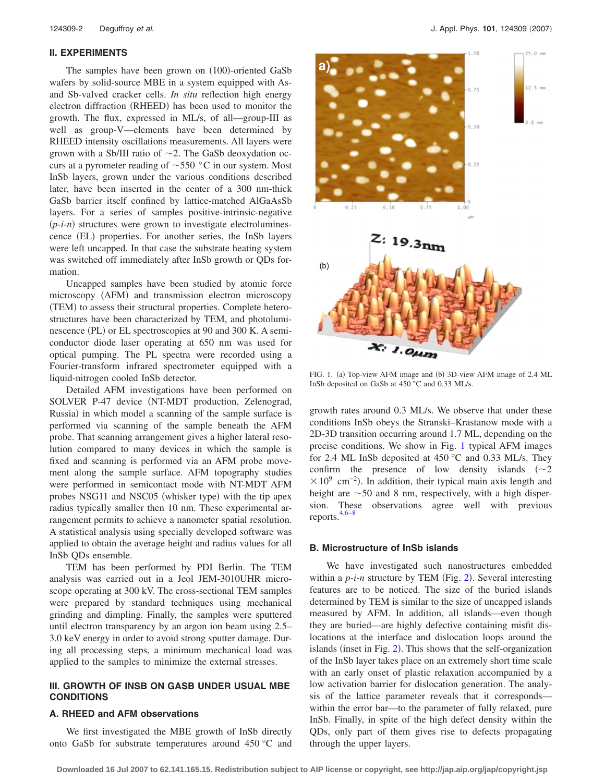## **II. EXPERIMENTS**

The samples have been grown on (100)-oriented GaSb wafers by solid-source MBE in a system equipped with Asand Sb-valved cracker cells. *In situ* reflection high energy electron diffraction (RHEED) has been used to monitor the growth. The flux, expressed in ML/s, of all—group-III as well as group-V—elements have been determined by RHEED intensity oscillations measurements. All layers were grown with a Sb/III ratio of  $\sim$ 2. The GaSb deoxydation occurs at a pyrometer reading of  $\sim$  550 °C in our system. Most InSb layers, grown under the various conditions described later, have been inserted in the center of a 300 nm-thick GaSb barrier itself confined by lattice-matched AlGaAsSb layers. For a series of samples positive-intrinsic-negative (p-i-n) structures were grown to investigate electroluminescence (EL) properties. For another series, the InSb layers were left uncapped. In that case the substrate heating system was switched off immediately after InSb growth or QDs formation.

Uncapped samples have been studied by atomic force microscopy (AFM) and transmission electron microscopy (TEM) to assess their structural properties. Complete heterostructures have been characterized by TEM, and photoluminescence (PL) or EL spectroscopies at 90 and 300 K. A semiconductor diode laser operating at 650 nm was used for optical pumping. The PL spectra were recorded using a Fourier-transform infrared spectrometer equipped with a liquid-nitrogen cooled InSb detector.

Detailed AFM investigations have been performed on SOLVER P-47 device (NT-MDT production, Zelenograd, Russia) in which model a scanning of the sample surface is performed via scanning of the sample beneath the AFM probe. That scanning arrangement gives a higher lateral resolution compared to many devices in which the sample is fixed and scanning is performed via an AFM probe movement along the sample surface. AFM topography studies were performed in semicontact mode with NT-MDT AFM probes NSG11 and NSC05 (whisker type) with the tip apex radius typically smaller then 10 nm. These experimental arrangement permits to achieve a nanometer spatial resolution. A statistical analysis using specially developed software was applied to obtain the average height and radius values for all InSb QDs ensemble.

TEM has been performed by PDI Berlin. The TEM analysis was carried out in a Jeol JEM-3010UHR microscope operating at 300 kV. The cross-sectional TEM samples were prepared by standard techniques using mechanical grinding and dimpling. Finally, the samples were sputtered until electron transparency by an argon ion beam using 2.5– 3.0 keV energy in order to avoid strong sputter damage. During all processing steps, a minimum mechanical load was applied to the samples to minimize the external stresses.

## **III. GROWTH OF INSB ON GASB UNDER USUAL MBE CONDITIONS**

## **A. RHEED and AFM observations**

We first investigated the MBE growth of InSb directly onto GaSb for substrate temperatures around 450 °C and

<span id="page-1-0"></span>

FIG. 1. (a) Top-view AFM image and (b) 3D-view AFM image of 2.4 ML InSb deposited on GaSb at 450 °C and 0.33 ML/s.

growth rates around 0.3 ML/s. We observe that under these conditions InSb obeys the Stranski–Krastanow mode with a 2D-3D transition occurring around 1.7 ML, depending on the precise conditions. We show in Fig. [1](#page-1-0) typical AFM images for 2.4 ML InSb deposited at 450 °C and 0.33 ML/s. They confirm the presence of low density islands  $(\sim 2)$  $\times$  10<sup>9</sup> cm<sup>-2</sup>). In addition, their typical main axis length and height are  $\sim$  50 and 8 nm, respectively, with a high dispersion. These observations agree well with previous reports[.4](#page-6-3)[,6–](#page-6-5)[8](#page-6-7)

# **B. Microstructure of InSb islands**

We have investigated such nanostructures embedded within a *p-i-n* structure by TEM (Fig. [2](#page-2-0)). Several interesting features are to be noticed. The size of the buried islands determined by TEM is similar to the size of uncapped islands measured by AFM. In addition, all islands—even though they are buried—are highly defective containing misfit dislocations at the interface and dislocation loops around the islands (inset in Fig. [2](#page-2-0)). This shows that the self-organization of the InSb layer takes place on an extremely short time scale with an early onset of plastic relaxation accompanied by a low activation barrier for dislocation generation. The analysis of the lattice parameter reveals that it corresponds within the error bar—to the parameter of fully relaxed, pure InSb. Finally, in spite of the high defect density within the QDs, only part of them gives rise to defects propagating through the upper layers.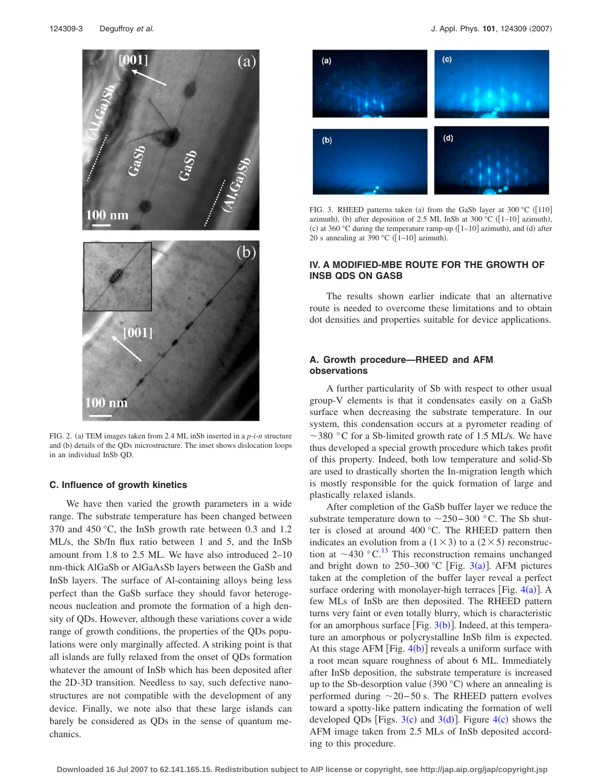<span id="page-2-0"></span>

FIG. 2. (a) TEM images taken from 2.4 ML inSb inserted in a *p-i-n* structure and (b) details of the QDs microstructure. The inset shows dislocation loops in an individual InSb QD.

### **C. Influence of growth kinetics**

We have then varied the growth parameters in a wide range. The substrate temperature has been changed between 370 and 450 °C, the InSb growth rate between 0.3 and 1.2 ML/s, the Sb/In flux ratio between 1 and 5, and the InSb amount from 1.8 to 2.5 ML. We have also introduced 2–10 nm-thick AlGaSb or AlGaAsSb layers between the GaSb and InSb layers. The surface of Al-containing alloys being less perfect than the GaSb surface they should favor heterogeneous nucleation and promote the formation of a high density of QDs. However, although these variations cover a wide range of growth conditions, the properties of the QDs populations were only marginally affected. A striking point is that all islands are fully relaxed from the onset of QDs formation whatever the amount of InSb which has been deposited after the 2D-3D transition. Needless to say, such defective nanostructures are not compatible with the development of any device. Finally, we note also that these large islands can barely be considered as QDs in the sense of quantum mechanics.

<span id="page-2-1"></span>

FIG. 3. RHEED patterns taken (a) from the GaSb layer at 300 °C ( $[110]$ azimuth), (b) after deposition of 2.5 ML InSb at 300 °C ( $[1-10]$  azimuth), (c) at 360 °C during the temperature ramp-up  $(1-10]$  azimuth), and (d) after 20 s annealing at 390 °C ( $[1-10]$  azimuth).

## **IV. A MODIFIED-MBE ROUTE FOR THE GROWTH OF INSB QDS ON GASB**

The results shown earlier indicate that an alternative route is needed to overcome these limitations and to obtain dot densities and properties suitable for device applications.

## **A. Growth procedure—RHEED and AFM observations**

A further particularity of Sb with respect to other usual group-V elements is that it condensates easily on a GaSb surface when decreasing the substrate temperature. In our system, this condensation occurs at a pyrometer reading of  $\sim$ 380 °C for a Sb-limited growth rate of 1.5 ML/s. We have thus developed a special growth procedure which takes profit of this property. Indeed, both low temperature and solid-Sb are used to drastically shorten the In-migration length which is mostly responsible for the quick formation of large and plastically relaxed islands.

After completion of the GaSb buffer layer we reduce the substrate temperature down to 250−300 °C. The Sb shutter is closed at around 400 °C. The RHEED pattern then indicates an evolution from a  $(1 \times 3)$  to a  $(2 \times 5)$  reconstruction at  $\sim$  430 °C.<sup>[13](#page-6-11)</sup> This reconstruction remains unchanged and bright down to  $250-300$  $250-300$  $250-300$  °C [Fig. 3(a)]. AFM pictures taken at the completion of the buffer layer reveal a perfect surface ordering with monolayer-high terraces [Fig.  $4(a)$  $4(a)$ ]. A few MLs of InSb are then deposited. The RHEED pattern turns very faint or even totally blurry, which is characteristic for an amorphous surface [Fig.  $3(b)$  $3(b)$ ]. Indeed, at this temperature an amorphous or polycrystalline InSb film is expected. At this stage AFM [Fig.  $4(b)$  $4(b)$ ] reveals a uniform surface with a root mean square roughness of about 6 ML. Immediately after InSb deposition, the substrate temperature is increased up to the Sb-desorption value  $(390 °C)$  where an annealing is performed during  $\sim$ 20−50 s. The RHEED pattern evolves toward a spotty-like pattern indicating the formation of well developed QDs [Figs.  $3(c)$  $3(c)$  and  $3(d)$ ]. Figure [4](#page-3-0)(c) shows the AFM image taken from 2.5 MLs of InSb deposited according to this procedure.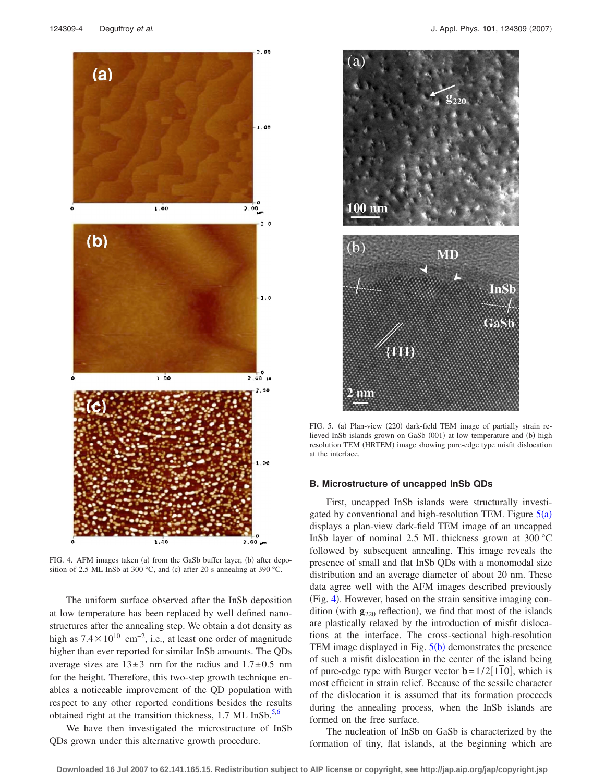<span id="page-3-0"></span>

FIG. 4. AFM images taken (a) from the GaSb buffer layer, (b) after deposition of 2.5 ML InSb at 300 °C, and (c) after 20 s annealing at 390 °C.

The uniform surface observed after the InSb deposition at low temperature has been replaced by well defined nanostructures after the annealing step. We obtain a dot density as high as  $7.4 \times 10^{10}$  cm<sup>-2</sup>, i.e., at least one order of magnitude higher than ever reported for similar InSb amounts. The QDs average sizes are  $13\pm3$  nm for the radius and  $1.7\pm0.5$  nm for the height. Therefore, this two-step growth technique enables a noticeable improvement of the QD population with respect to any other reported conditions besides the results obtained right at the transition thickness,  $1.7 \text{ ML InSb.}^{5,6}$  $1.7 \text{ ML InSb.}^{5,6}$  $1.7 \text{ ML InSb.}^{5,6}$ 

We have then investigated the microstructure of InSb QDs grown under this alternative growth procedure.

<span id="page-3-1"></span>

FIG. 5. (a) Plan-view (220) dark-field TEM image of partially strain relieved InSb islands grown on GaSb (001) at low temperature and (b) high resolution TEM (HRTEM) image showing pure-edge type misfit dislocation at the interface.

#### **B. Microstructure of uncapped InSb QDs**

First, uncapped InSb islands were structurally investigated by conventional and high-resolution TEM. Figure  $5(a)$  $5(a)$ displays a plan-view dark-field TEM image of an uncapped InSb layer of nominal 2.5 ML thickness grown at 300 °C followed by subsequent annealing. This image reveals the presence of small and flat InSb QDs with a monomodal size distribution and an average diameter of about 20 nm. These data agree well with the AFM images described previously (Fig. [4](#page-3-0)). However, based on the strain sensitive imaging condition (with  $\mathbf{g}_{220}$  reflection), we find that most of the islands are plastically relaxed by the introduction of misfit dislocations at the interface. The cross-sectional high-resolution TEM image displayed in Fig.  $5(b)$  $5(b)$  demonstrates the presence of such a misfit dislocation in the center of the island being of pure-edge type with Burger vector  $\mathbf{b} = 1/2[110]$ , which is most efficient in strain relief. Because of the sessile character of the dislocation it is assumed that its formation proceeds during the annealing process, when the InSb islands are formed on the free surface.

The nucleation of InSb on GaSb is characterized by the formation of tiny, flat islands, at the beginning which are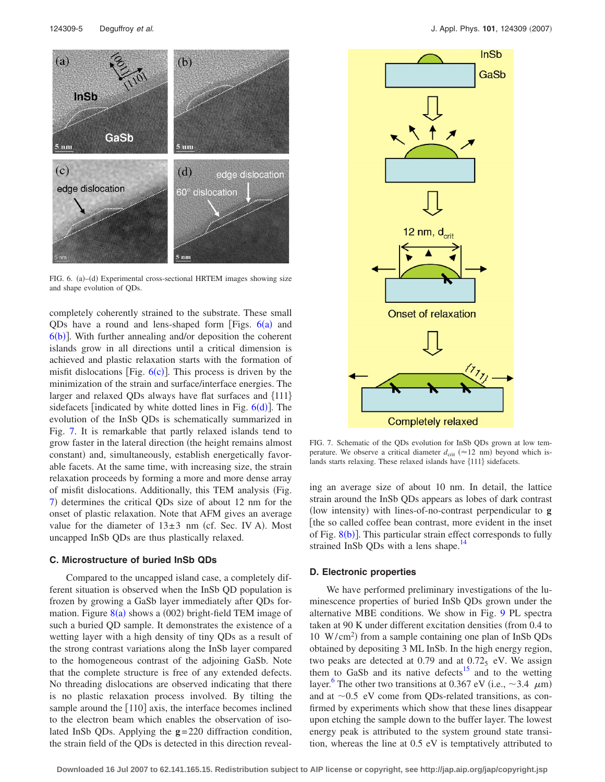<span id="page-4-0"></span>

FIG. 6. (a)-(d) Experimental cross-sectional HRTEM images showing size and shape evolution of QDs.

completely coherently strained to the substrate. These small QDs have a round and lens-shaped form [Figs.  $6(a)$  $6(a)$  and  $6(b)$  $6(b)$ ]. With further annealing and/or deposition the coherent islands grow in all directions until a critical dimension is achieved and plastic relaxation starts with the formation of misfit dislocations [Fig.  $6(c)$  $6(c)$ ]. This process is driven by the minimization of the strain and surface/interface energies. The larger and relaxed QDs always have flat surfaces and  $\{111\}$ si[d](#page-4-0)efacets [indicated by white dotted lines in Fig.  $6(d)$ ]. The evolution of the InSb QDs is schematically summarized in Fig. [7.](#page-4-1) It is remarkable that partly relaxed islands tend to grow faster in the lateral direction (the height remains almost constant) and, simultaneously, establish energetically favorable facets. At the same time, with increasing size, the strain relaxation proceeds by forming a more and more dense array of misfit dislocations. Additionally, this TEM analysis Fig. [7](#page-4-1)) determines the critical QDs size of about 12 nm for the onset of plastic relaxation. Note that AFM gives an average value for the diameter of  $13\pm3$  nm (cf. Sec. IV A). Most uncapped InSb QDs are thus plastically relaxed.

#### **C. Microstructure of buried InSb QDs**

Compared to the uncapped island case, a completely different situation is observed when the InSb QD population is frozen by growing a GaSb layer immediately after QDs formation. Figure  $8(a)$  $8(a)$  shows a (002) bright-field TEM image of such a buried QD sample. It demonstrates the existence of a wetting layer with a high density of tiny QDs as a result of the strong contrast variations along the InSb layer compared to the homogeneous contrast of the adjoining GaSb. Note that the complete structure is free of any extended defects. No threading dislocations are observed indicating that there is no plastic relaxation process involved. By tilting the sample around the  $[110]$  axis, the interface becomes inclined to the electron beam which enables the observation of isolated InSb QDs. Applying the **g**=220 diffraction condition, the strain field of the QDs is detected in this direction reveal-

<span id="page-4-1"></span>

FIG. 7. Schematic of the QDs evolution for InSb QDs grown at low temperature. We observe a critical diameter  $d_{\text{crit}} \approx 12 \text{ nm}$ ) beyond which islands starts relaxing. These relaxed islands have  ${111}$  sidefacets.

ing an average size of about 10 nm. In detail, the lattice strain around the InSb QDs appears as lobes of dark contrast (low intensity) with lines-of-no-contrast perpendicular to g [the so called coffee bean contrast, more evident in the inset of Fig.  $8(b)$  $8(b)$ ]. This particular strain effect corresponds to fully strained InSb QDs with a lens shape.<sup>14</sup>

### **D. Electronic properties**

We have performed preliminary investigations of the luminescence properties of buried InSb QDs grown under the alternative MBE conditions. We show in Fig. [9](#page-5-1) PL spectra taken at 90 K under different excitation densities (from 0.4 to 10 W/cm<sup>2</sup>) from a sample containing one plan of InSb QDs obtained by depositing 3 ML InSb. In the high energy region, two peaks are detected at  $0.79$  and at  $0.72<sub>5</sub>$  eV. We assign them to GaSb and its native defects<sup>15</sup> and to the wetting layer.<sup>6</sup> The other two transitions at 0.367 eV (i.e.,  $\sim$ 3.4  $\mu$ m) and at  $\sim 0.5$  eV come from ODs-related transitions, as confirmed by experiments which show that these lines disappear upon etching the sample down to the buffer layer. The lowest energy peak is attributed to the system ground state transition, whereas the line at 0.5 eV is temptatively attributed to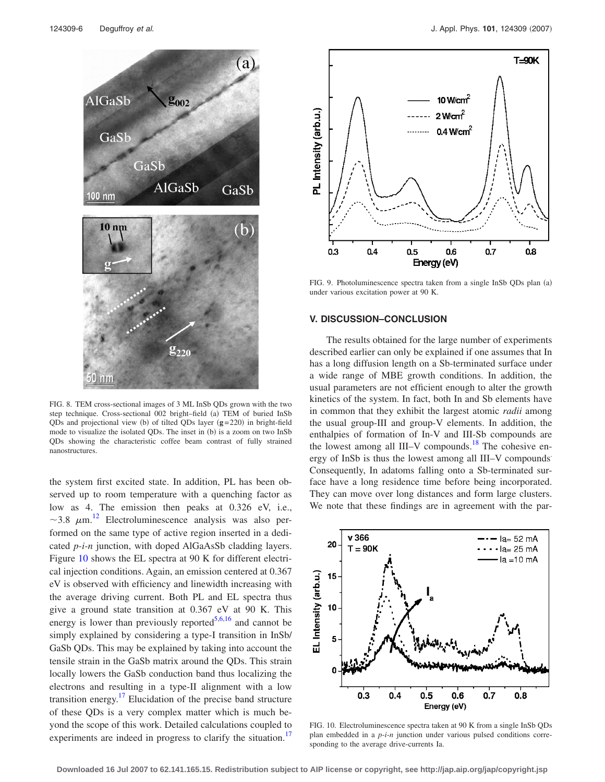<span id="page-5-0"></span>

FIG. 8. TEM cross-sectional images of 3 ML InSb QDs grown with the two step technique. Cross-sectional 002 bright–field (a) TEM of buried InSb QDs and projectional view (b) of tilted QDs layer  $(g=220)$  in bright-field mode to visualize the isolated QDs. The inset in (b) is a zoom on two InSb QDs showing the characteristic coffee beam contrast of fully strained nanostructures.

the system first excited state. In addition, PL has been observed up to room temperature with a quenching factor as low as 4. The emission then peaks at 0.326 eV, i.e., ~3.8  $\mu$ m.<sup>[12](#page-6-10)</sup> Electroluminescence analysis was also performed on the same type of active region inserted in a dedicated *p-i-n* junction, with doped AlGaAsSb cladding layers. Figure [10](#page-5-2) shows the EL spectra at 90 K for different electrical injection conditions. Again, an emission centered at 0.367 eV is observed with efficiency and linewidth increasing with the average driving current. Both PL and EL spectra thus give a ground state transition at 0.367 eV at 90 K. This energy is lower than previously reported<sup>5[,6,](#page-6-5)[16](#page-6-14)</sup> and cannot be simply explained by considering a type-I transition in InSb/ GaSb QDs. This may be explained by taking into account the tensile strain in the GaSb matrix around the QDs. This strain locally lowers the GaSb conduction band thus localizing the electrons and resulting in a type-II alignment with a low transition energy. $17$  Elucidation of the precise band structure of these QDs is a very complex matter which is much beyond the scope of this work. Detailed calculations coupled to experiments are indeed in progress to clarify the situation.<sup>17</sup>

<span id="page-5-1"></span>

FIG. 9. Photoluminescence spectra taken from a single InSb QDs plan (a) under various excitation power at 90 K.

#### **V. DISCUSSION–CONCLUSION**

The results obtained for the large number of experiments described earlier can only be explained if one assumes that In has a long diffusion length on a Sb-terminated surface under a wide range of MBE growth conditions. In addition, the usual parameters are not efficient enough to alter the growth kinetics of the system. In fact, both In and Sb elements have in common that they exhibit the largest atomic *radii* among the usual group-III and group-V elements. In addition, the enthalpies of formation of In-V and III-Sb compounds are the lowest among all III–V compounds.<sup>18</sup> The cohesive energy of InSb is thus the lowest among all III–V compounds. Consequently, In adatoms falling onto a Sb-terminated surface have a long residence time before being incorporated. They can move over long distances and form large clusters. We note that these findings are in agreement with the par-

<span id="page-5-2"></span>

FIG. 10. Electroluminescence spectra taken at 90 K from a single InSb QDs plan embedded in a *p-i-n* junction under various pulsed conditions corresponding to the average drive-currents Ia.